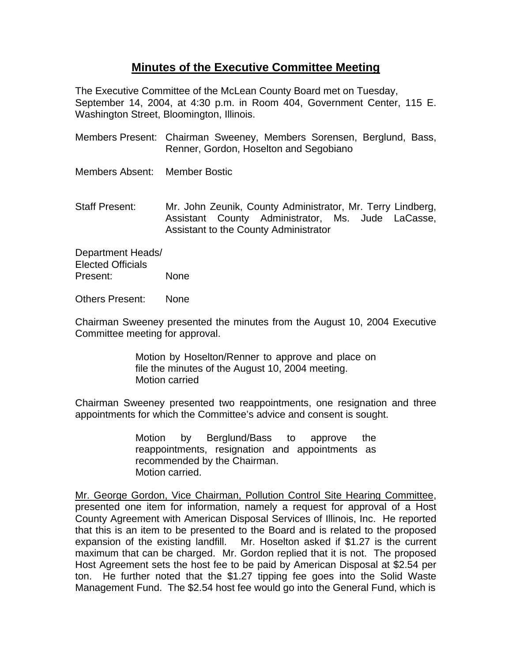## **Minutes of the Executive Committee Meeting**

The Executive Committee of the McLean County Board met on Tuesday, September 14, 2004, at 4:30 p.m. in Room 404, Government Center, 115 E. Washington Street, Bloomington, Illinois.

- Members Present: Chairman Sweeney, Members Sorensen, Berglund, Bass, Renner, Gordon, Hoselton and Segobiano
- Members Absent: Member Bostic
- Staff Present: Mr. John Zeunik, County Administrator, Mr. Terry Lindberg, Assistant County Administrator, Ms. Jude LaCasse, Assistant to the County Administrator

Department Heads/ Elected Officials Present: None

Others Present: None

Chairman Sweeney presented the minutes from the August 10, 2004 Executive Committee meeting for approval.

> Motion by Hoselton/Renner to approve and place on file the minutes of the August 10, 2004 meeting. Motion carried

Chairman Sweeney presented two reappointments, one resignation and three appointments for which the Committee's advice and consent is sought.

> Motion by Berglund/Bass to approve the reappointments, resignation and appointments as recommended by the Chairman. Motion carried.

Mr. George Gordon, Vice Chairman, Pollution Control Site Hearing Committee, presented one item for information, namely a request for approval of a Host County Agreement with American Disposal Services of Illinois, Inc. He reported that this is an item to be presented to the Board and is related to the proposed expansion of the existing landfill. Mr. Hoselton asked if \$1.27 is the current maximum that can be charged. Mr. Gordon replied that it is not. The proposed Host Agreement sets the host fee to be paid by American Disposal at \$2.54 per ton. He further noted that the \$1.27 tipping fee goes into the Solid Waste Management Fund. The \$2.54 host fee would go into the General Fund, which is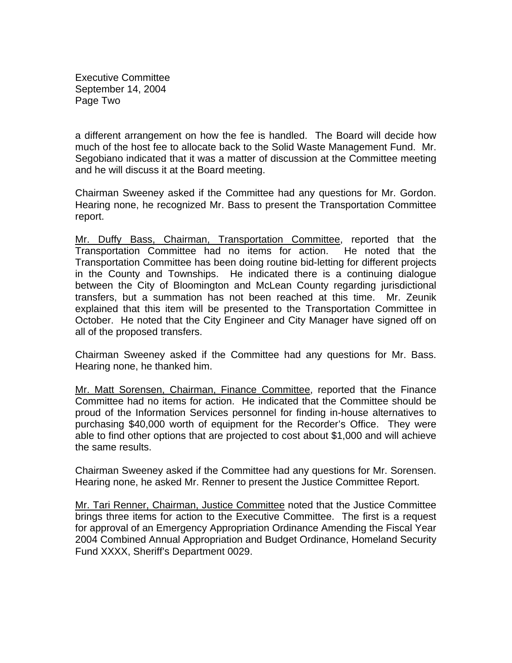Executive Committee September 14, 2004 Page Two

a different arrangement on how the fee is handled. The Board will decide how much of the host fee to allocate back to the Solid Waste Management Fund. Mr. Segobiano indicated that it was a matter of discussion at the Committee meeting and he will discuss it at the Board meeting.

Chairman Sweeney asked if the Committee had any questions for Mr. Gordon. Hearing none, he recognized Mr. Bass to present the Transportation Committee report.

Mr. Duffy Bass, Chairman, Transportation Committee, reported that the Transportation Committee had no items for action. He noted that the Transportation Committee has been doing routine bid-letting for different projects in the County and Townships. He indicated there is a continuing dialogue between the City of Bloomington and McLean County regarding jurisdictional transfers, but a summation has not been reached at this time. Mr. Zeunik explained that this item will be presented to the Transportation Committee in October. He noted that the City Engineer and City Manager have signed off on all of the proposed transfers.

Chairman Sweeney asked if the Committee had any questions for Mr. Bass. Hearing none, he thanked him.

Mr. Matt Sorensen, Chairman, Finance Committee, reported that the Finance Committee had no items for action. He indicated that the Committee should be proud of the Information Services personnel for finding in-house alternatives to purchasing \$40,000 worth of equipment for the Recorder's Office. They were able to find other options that are projected to cost about \$1,000 and will achieve the same results.

Chairman Sweeney asked if the Committee had any questions for Mr. Sorensen. Hearing none, he asked Mr. Renner to present the Justice Committee Report.

Mr. Tari Renner, Chairman, Justice Committee noted that the Justice Committee brings three items for action to the Executive Committee. The first is a request for approval of an Emergency Appropriation Ordinance Amending the Fiscal Year 2004 Combined Annual Appropriation and Budget Ordinance, Homeland Security Fund XXXX, Sheriff's Department 0029.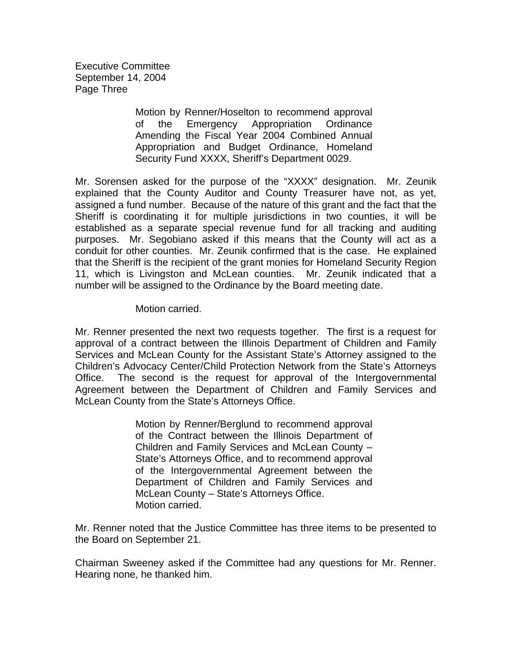Executive Committee September 14, 2004 Page Three

> Motion by Renner/Hoselton to recommend approval of the Emergency Appropriation Ordinance Amending the Fiscal Year 2004 Combined Annual Appropriation and Budget Ordinance, Homeland Security Fund XXXX, Sheriff's Department 0029.

Mr. Sorensen asked for the purpose of the "XXXX" designation. Mr. Zeunik explained that the County Auditor and County Treasurer have not, as yet, assigned a fund number. Because of the nature of this grant and the fact that the Sheriff is coordinating it for multiple jurisdictions in two counties, it will be established as a separate special revenue fund for all tracking and auditing purposes. Mr. Segobiano asked if this means that the County will act as a conduit for other counties. Mr. Zeunik confirmed that is the case. He explained that the Sheriff is the recipient of the grant monies for Homeland Security Region 11, which is Livingston and McLean counties. Mr. Zeunik indicated that a number will be assigned to the Ordinance by the Board meeting date.

## Motion carried.

Mr. Renner presented the next two requests together. The first is a request for approval of a contract between the Illinois Department of Children and Family Services and McLean County for the Assistant State's Attorney assigned to the Children's Advocacy Center/Child Protection Network from the State's Attorneys Office. The second is the request for approval of the Intergovernmental Agreement between the Department of Children and Family Services and McLean County from the State's Attorneys Office.

> Motion by Renner/Berglund to recommend approval of the Contract between the Illinois Department of Children and Family Services and McLean County – State's Attorneys Office, and to recommend approval of the Intergovernmental Agreement between the Department of Children and Family Services and McLean County – State's Attorneys Office. Motion carried.

Mr. Renner noted that the Justice Committee has three items to be presented to the Board on September 21.

Chairman Sweeney asked if the Committee had any questions for Mr. Renner. Hearing none, he thanked him.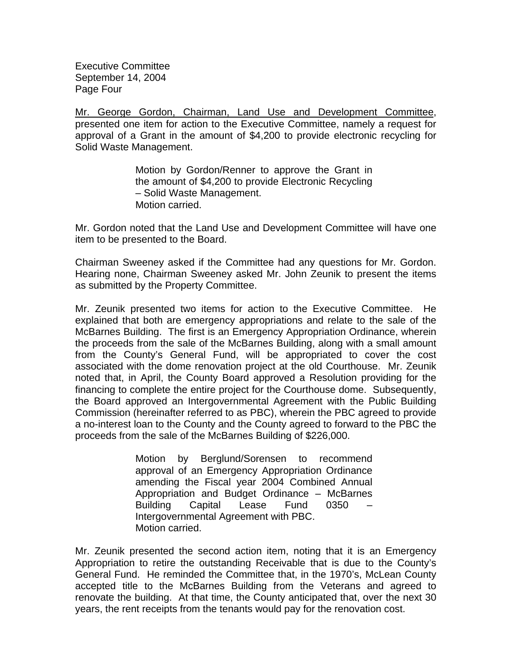Executive Committee September 14, 2004 Page Four

Mr. George Gordon, Chairman, Land Use and Development Committee, presented one item for action to the Executive Committee, namely a request for approval of a Grant in the amount of \$4,200 to provide electronic recycling for Solid Waste Management.

> Motion by Gordon/Renner to approve the Grant in the amount of \$4,200 to provide Electronic Recycling – Solid Waste Management. Motion carried.

Mr. Gordon noted that the Land Use and Development Committee will have one item to be presented to the Board.

Chairman Sweeney asked if the Committee had any questions for Mr. Gordon. Hearing none, Chairman Sweeney asked Mr. John Zeunik to present the items as submitted by the Property Committee.

Mr. Zeunik presented two items for action to the Executive Committee. He explained that both are emergency appropriations and relate to the sale of the McBarnes Building. The first is an Emergency Appropriation Ordinance, wherein the proceeds from the sale of the McBarnes Building, along with a small amount from the County's General Fund, will be appropriated to cover the cost associated with the dome renovation project at the old Courthouse. Mr. Zeunik noted that, in April, the County Board approved a Resolution providing for the financing to complete the entire project for the Courthouse dome. Subsequently, the Board approved an Intergovernmental Agreement with the Public Building Commission (hereinafter referred to as PBC), wherein the PBC agreed to provide a no-interest loan to the County and the County agreed to forward to the PBC the proceeds from the sale of the McBarnes Building of \$226,000.

> Motion by Berglund/Sorensen to recommend approval of an Emergency Appropriation Ordinance amending the Fiscal year 2004 Combined Annual Appropriation and Budget Ordinance – McBarnes Building Capital Lease Fund 0350 – Intergovernmental Agreement with PBC. Motion carried.

Mr. Zeunik presented the second action item, noting that it is an Emergency Appropriation to retire the outstanding Receivable that is due to the County's General Fund. He reminded the Committee that, in the 1970's, McLean County accepted title to the McBarnes Building from the Veterans and agreed to renovate the building. At that time, the County anticipated that, over the next 30 years, the rent receipts from the tenants would pay for the renovation cost.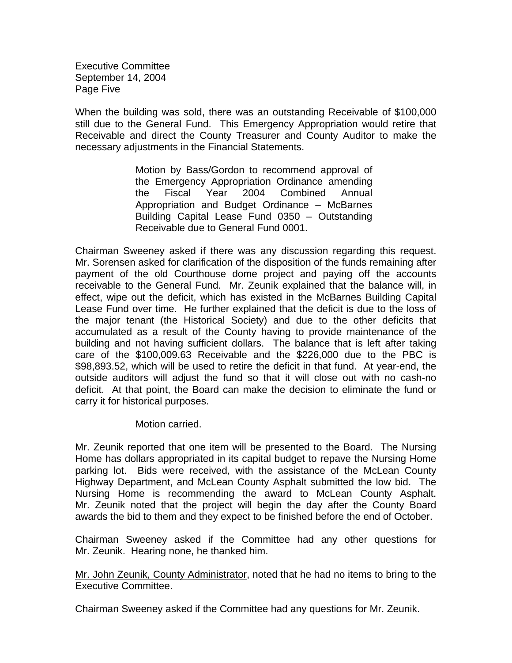Executive Committee September 14, 2004 Page Five

When the building was sold, there was an outstanding Receivable of \$100,000 still due to the General Fund. This Emergency Appropriation would retire that Receivable and direct the County Treasurer and County Auditor to make the necessary adjustments in the Financial Statements.

> Motion by Bass/Gordon to recommend approval of the Emergency Appropriation Ordinance amending the Fiscal Year 2004 Combined Annual Appropriation and Budget Ordinance – McBarnes Building Capital Lease Fund 0350 – Outstanding Receivable due to General Fund 0001.

Chairman Sweeney asked if there was any discussion regarding this request. Mr. Sorensen asked for clarification of the disposition of the funds remaining after payment of the old Courthouse dome project and paying off the accounts receivable to the General Fund. Mr. Zeunik explained that the balance will, in effect, wipe out the deficit, which has existed in the McBarnes Building Capital Lease Fund over time. He further explained that the deficit is due to the loss of the major tenant (the Historical Society) and due to the other deficits that accumulated as a result of the County having to provide maintenance of the building and not having sufficient dollars. The balance that is left after taking care of the \$100,009.63 Receivable and the \$226,000 due to the PBC is \$98,893.52, which will be used to retire the deficit in that fund. At year-end, the outside auditors will adjust the fund so that it will close out with no cash-no deficit. At that point, the Board can make the decision to eliminate the fund or carry it for historical purposes.

Motion carried.

Mr. Zeunik reported that one item will be presented to the Board. The Nursing Home has dollars appropriated in its capital budget to repave the Nursing Home parking lot. Bids were received, with the assistance of the McLean County Highway Department, and McLean County Asphalt submitted the low bid. The Nursing Home is recommending the award to McLean County Asphalt. Mr. Zeunik noted that the project will begin the day after the County Board awards the bid to them and they expect to be finished before the end of October.

Chairman Sweeney asked if the Committee had any other questions for Mr. Zeunik. Hearing none, he thanked him.

Mr. John Zeunik, County Administrator, noted that he had no items to bring to the Executive Committee.

Chairman Sweeney asked if the Committee had any questions for Mr. Zeunik.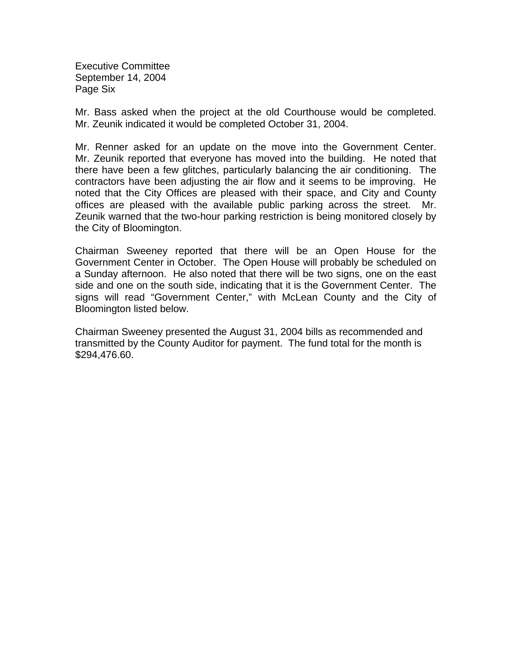Executive Committee September 14, 2004 Page Six

Mr. Bass asked when the project at the old Courthouse would be completed. Mr. Zeunik indicated it would be completed October 31, 2004.

Mr. Renner asked for an update on the move into the Government Center. Mr. Zeunik reported that everyone has moved into the building. He noted that there have been a few glitches, particularly balancing the air conditioning. The contractors have been adjusting the air flow and it seems to be improving. He noted that the City Offices are pleased with their space, and City and County offices are pleased with the available public parking across the street. Mr. Zeunik warned that the two-hour parking restriction is being monitored closely by the City of Bloomington.

Chairman Sweeney reported that there will be an Open House for the Government Center in October. The Open House will probably be scheduled on a Sunday afternoon. He also noted that there will be two signs, one on the east side and one on the south side, indicating that it is the Government Center. The signs will read "Government Center," with McLean County and the City of Bloomington listed below.

Chairman Sweeney presented the August 31, 2004 bills as recommended and transmitted by the County Auditor for payment. The fund total for the month is \$294,476.60.